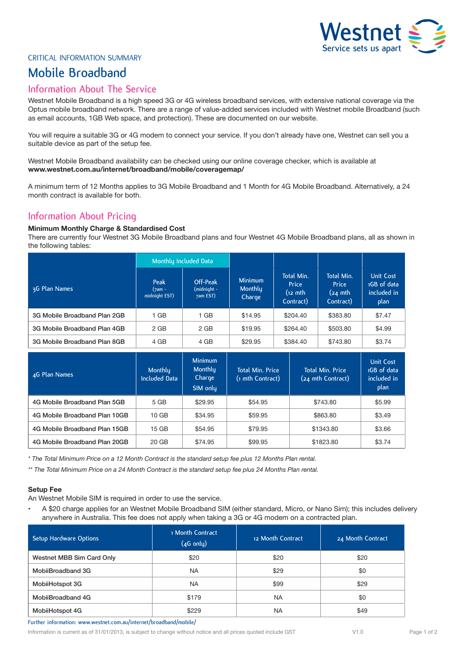

### CRITICAL INFORMATION SUMMARY

# **Mobile Broadband**

## **Information About The Service**

Westnet Mobile Broadband is a high speed 3G or 4G wireless broadband services, with extensive national coverage via the Optus mobile broadband network. There are a range of value-added services included with Westnet mobile Broadband (such as email accounts, 1GB Web space, and protection). These are documented on our website.

You will require a suitable 3G or 4G modem to connect your service. If you don't already have one, Westnet can sell you a suitable device as part of the setup fee.

Westnet Mobile Broadband availability can be checked using our online coverage checker, which is available at **www.westnet.com.au/internet/broadband/mobile/coveragemap/**

A minimum term of 12 Months applies to 3G Mobile Broadband and 1 Month for 4G Mobile Broadband. Alternatively, a 24 month contract is available for both.

# **Information About Pricing**

### **Minimum Monthly Charge & Standardised Cost**

There are currently four Westnet 3G Mobile Broadband plans and four Westnet 4G Mobile Broadband plans, all as shown in the following tables:

|                              | Monthly Included Data           |                                            |                                            |                                                         |                                                               |                                                        |
|------------------------------|---------------------------------|--------------------------------------------|--------------------------------------------|---------------------------------------------------------|---------------------------------------------------------------|--------------------------------------------------------|
| 3G Plan Names                | Peak<br>(7am -<br>midnight EST) | <b>Off-Peak</b><br>(midnight -<br>7am EST) | <b>Minimum</b><br><b>Monthly</b><br>Charge | <b>Total Min.</b><br>Price<br>$(i2 \nmin)$<br>Contract) | Total Min.<br><b>Price</b><br>$(24 \text{ mth})$<br>Contract) | <b>Unit Cost</b><br>1GB of data<br>included in<br>plan |
| 3G Mobile Broadband Plan 2GB | 1 GB                            | 1 GB                                       | \$14.95                                    | \$204.40                                                | \$383.80                                                      | \$7.47                                                 |
| 3G Mobile Broadband Plan 4GB | $2$ GB                          | 2 GB                                       | \$19.95                                    | \$264.40                                                | \$503.80                                                      | \$4.99                                                 |
| 3G Mobile Broadband Plan 8GB | 4 GB                            | 4 GB                                       | \$29.95                                    | \$384.40                                                | \$743.80                                                      | \$3.74                                                 |

| 4G Plan Names                 | Monthly<br><b>Included Data</b> | <b>Minimum</b><br>Monthly<br>Charge<br>SIM only | <b>Total Min. Price</b><br>(1 mth Contract) | <b>Total Min. Price</b><br>(24 mth Contract) | <b>Unit Cost</b><br>1GB of data<br>included in<br>plan |
|-------------------------------|---------------------------------|-------------------------------------------------|---------------------------------------------|----------------------------------------------|--------------------------------------------------------|
| 4G Mobile Broadband Plan 5GB  | 5 GB                            | \$29.95                                         | \$54.95                                     | \$743.80                                     | \$5.99                                                 |
| 4G Mobile Broadband Plan 10GB | 10 <sub>GB</sub>                | \$34.95                                         | \$59.95                                     | \$863.80                                     | \$3.49                                                 |
| 4G Mobile Broadband Plan 15GB | 15 GB                           | \$54.95                                         | \$79.95                                     | \$1343.80                                    | \$3.66                                                 |
| 4G Mobile Broadband Plan 20GB | 20 GB                           | \$74.95                                         | \$99.95                                     | \$1823.80                                    | \$3.74                                                 |

*\* The Total Minimum Price on a 12 Month Contract is the standard setup fee plus 12 Months Plan rental.*

*\*\* The Total Minimum Price on a 24 Month Contract is the standard setup fee plus 24 Months Plan rental.*

#### **Setup Fee**

An Westnet Mobile SIM is required in order to use the service.

A \$20 charge applies for an Westnet Mobile Broadband SIM (either standard, Micro, or Nano Sim); this includes delivery anywhere in Australia. This fee does not apply when taking a 3G or 4G modem on a contracted plan.

| Setup Hardware Options    | 1 Month Contract<br>$(4G \text{ only})$ | 12 Month Contract | 24 Month Contract |
|---------------------------|-----------------------------------------|-------------------|-------------------|
| Westnet MBB Sim Card Only | \$20                                    | \$20              | \$20              |
| MobiiBroadband 3G         | <b>NA</b>                               | \$29              | \$0               |
| MobiiHotspot 3G           | <b>NA</b>                               | \$99              | \$29              |
| MobiiBroadband 4G         | \$179                                   | <b>NA</b>         | \$0               |
| MobiiHotspot 4G           | \$229                                   | <b>NA</b>         | \$49              |

**Further information: www.westnet.com.au/internet/broadband/mobile/**